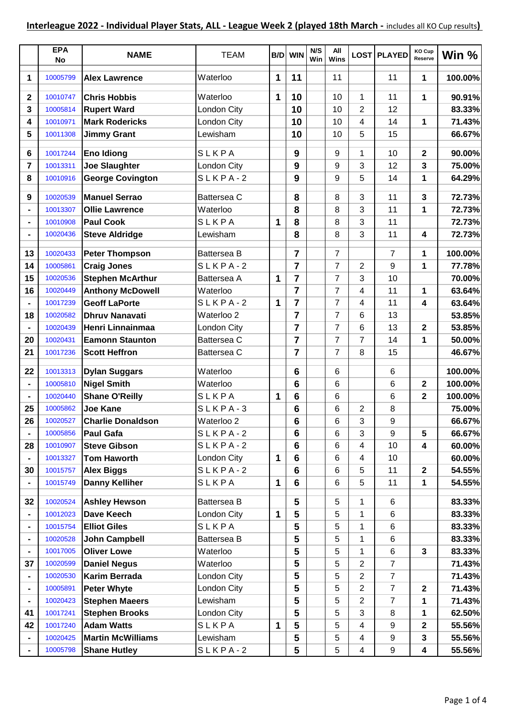|                | <b>EPA</b><br><b>No</b> | <b>NAME</b>              | <b>TEAM</b> |   | <b>B/D</b> WIN | N/S<br>Win | All<br>Wins    |                | LOST PLAYED    | KO Cup<br>Reserve       | Win %   |
|----------------|-------------------------|--------------------------|-------------|---|----------------|------------|----------------|----------------|----------------|-------------------------|---------|
| 1              | 10005799                | <b>Alex Lawrence</b>     | Waterloo    | 1 | 11             |            | 11             |                | 11             | 1                       | 100.00% |
| $\mathbf{2}$   | 10010747                | <b>Chris Hobbis</b>      | Waterloo    | 1 | 10             |            | 10             | 1              | 11             | 1                       | 90.91%  |
| $\overline{3}$ | 10005814                | <b>Rupert Ward</b>       | London City |   | 10             |            | 10             | $\overline{2}$ | 12             |                         | 83.33%  |
| 4              | 10010971                | <b>Mark Rodericks</b>    | London City |   | 10             |            | 10             | 4              | 14             | 1                       | 71.43%  |
| 5              | 10011308                | <b>Jimmy Grant</b>       | Lewisham    |   | 10             |            | 10             | 5              | 15             |                         | 66.67%  |
|                |                         |                          |             |   |                |            |                |                |                |                         |         |
| 6              | 10017244                | <b>Eno Idiong</b>        | SLKPA       |   | 9              |            | 9              | 1              | 10             | $\mathbf 2$             | 90.00%  |
| $\overline{7}$ | 10013311                | <b>Joe Slaughter</b>     | London City |   | 9              |            | 9              | 3              | 12             | 3                       | 75.00%  |
| 8              | 10010916                | <b>George Covington</b>  | $SLKPA-2$   |   | 9              |            | 9              | 5              | 14             | 1                       | 64.29%  |
| 9              | 10020539                | <b>Manuel Serrao</b>     | Battersea C |   | 8              |            | 8              | 3              | 11             | $\overline{\mathbf{3}}$ | 72.73%  |
|                | 10013307                | <b>Ollie Lawrence</b>    | Waterloo    |   | 8              |            | 8              | 3              | 11             | 1                       | 72.73%  |
|                | 10010908                | <b>Paul Cook</b>         | SLKPA       | 1 | 8              |            | 8              | 3              | 11             |                         | 72.73%  |
|                | 10020436                | <b>Steve Aldridge</b>    | Lewisham    |   | 8              |            | 8              | 3              | 11             | 4                       | 72.73%  |
|                |                         |                          |             |   |                |            |                |                |                |                         |         |
| 13             | 10020433                | <b>Peter Thompson</b>    | Battersea B |   | $\overline{7}$ |            | 7              |                | $\overline{7}$ | 1                       | 100.00% |
| 14             | 10005861                | <b>Craig Jones</b>       | SLKPA-2     |   | $\overline{7}$ |            | 7              | 2              | 9              | 1                       | 77.78%  |
| 15             | 10020536                | <b>Stephen McArthur</b>  | Battersea A | 1 | $\overline{7}$ |            | 7              | 3              | 10             |                         | 70.00%  |
| 16             | 10020449                | <b>Anthony McDowell</b>  | Waterloo    |   | $\overline{7}$ |            | 7              | 4              | 11             | 1                       | 63.64%  |
|                | 10017239                | <b>Geoff LaPorte</b>     | $SLKPA-2$   | 1 | $\overline{7}$ |            | $\overline{7}$ | 4              | 11             | 4                       | 63.64%  |
| 18             | 10020582                | <b>Dhruv Nanavati</b>    | Waterloo 2  |   | $\overline{7}$ |            | 7              | 6              | 13             |                         | 53.85%  |
|                | 10020439                | Henri Linnainmaa         | London City |   | $\overline{7}$ |            | 7              | 6              | 13             | $\mathbf 2$             | 53.85%  |
| 20             | 10020431                | <b>Eamonn Staunton</b>   | Battersea C |   | 7              |            | 7              | 7              | 14             | 1                       | 50.00%  |
| 21             | 10017236                | <b>Scott Heffron</b>     | Battersea C |   | 7              |            | 7              | 8              | 15             |                         | 46.67%  |
| 22             | 10013313                | <b>Dylan Suggars</b>     | Waterloo    |   | 6              |            | 6              |                | 6              |                         | 100.00% |
|                | 10005810                | <b>Nigel Smith</b>       | Waterloo    |   | $6\phantom{1}$ |            | 6              |                | 6              | $\mathbf 2$             | 100.00% |
|                | 10020440                | <b>Shane O'Reilly</b>    | SLKPA       | 1 | 6              |            | 6              |                | 6              | $\mathbf{2}$            | 100.00% |
| 25             | 10005862                | <b>Joe Kane</b>          | SLKPA-3     |   | 6              |            | 6              | 2              | 8              |                         | 75.00%  |
| 26             | 10020527                | <b>Charlie Donaldson</b> | Waterloo 2  |   | 6              |            | 6              | 3              | 9              |                         | 66.67%  |
|                | 10005856                | <b>Paul Gafa</b>         | $SLKPA-2$   |   | 6              |            | 6              | 3              | 9              | 5                       | 66.67%  |
| 28             | 10010907                | <b>Steve Gibson</b>      | $SLKPA-2$   |   | 6              |            | 6              | 4              | 10             | 4                       | 60.00%  |
|                | 10013327                | <b>Tom Haworth</b>       | London City | 1 | 6              |            | 6              | 4              | 10             |                         | 60.00%  |
| 30             | 10015757                | <b>Alex Biggs</b>        | $SLKPA-2$   |   | 6              |            | 6              | 5              | 11             | $\mathbf{2}$            | 54.55%  |
|                | 10015749                | <b>Danny Kelliher</b>    | SLKPA       | 1 | 6              |            | 6              | 5              | 11             | 1                       | 54.55%  |
| 32             | 10020524                | <b>Ashley Hewson</b>     | Battersea B |   | 5              |            | 5              | 1              | 6              |                         | 83.33%  |
|                | 10012023                | Dave Keech               | London City | 1 | 5              |            | 5              | 1              | 6              |                         | 83.33%  |
|                | 10015754                | <b>Elliot Giles</b>      | SLKPA       |   | 5              |            | 5              | 1              | 6              |                         | 83.33%  |
|                | 10020528                | <b>John Campbell</b>     | Battersea B |   | 5              |            | 5              | 1              | 6              |                         | 83.33%  |
|                | 10017005                | <b>Oliver Lowe</b>       | Waterloo    |   | 5              |            | 5              | 1              | 6              | 3                       | 83.33%  |
| 37             | 10020599                | <b>Daniel Negus</b>      | Waterloo    |   | 5              |            | 5              | $\overline{2}$ | $\overline{7}$ |                         | 71.43%  |
|                | 10020530                | Karim Berrada            | London City |   | 5              |            | 5              | 2              | $\overline{7}$ |                         | 71.43%  |
|                | 10005891                | <b>Peter Whyte</b>       | London City |   | 5              |            | 5              | 2              | 7              | $\mathbf 2$             | 71.43%  |
|                | 10020423                | <b>Stephen Maeers</b>    | Lewisham    |   | 5              |            | 5              | $\overline{2}$ | 7              | 1                       | 71.43%  |
| 41             | 10017241                | <b>Stephen Brooks</b>    | London City |   | 5              |            | 5              | 3              | 8              | 1                       | 62.50%  |
| 42             | 10017240                | <b>Adam Watts</b>        | SLKPA       | 1 | 5              |            | 5              | 4              | 9              | $\mathbf 2$             | 55.56%  |
|                | 10020425                | <b>Martin McWilliams</b> | Lewisham    |   | 5              |            | 5              | 4              | 9              | 3                       | 55.56%  |
|                | 10005798                | <b>Shane Hutley</b>      | $SLKPA-2$   |   | 5              |            | 5              | 4              | 9              | 4                       | 55.56%  |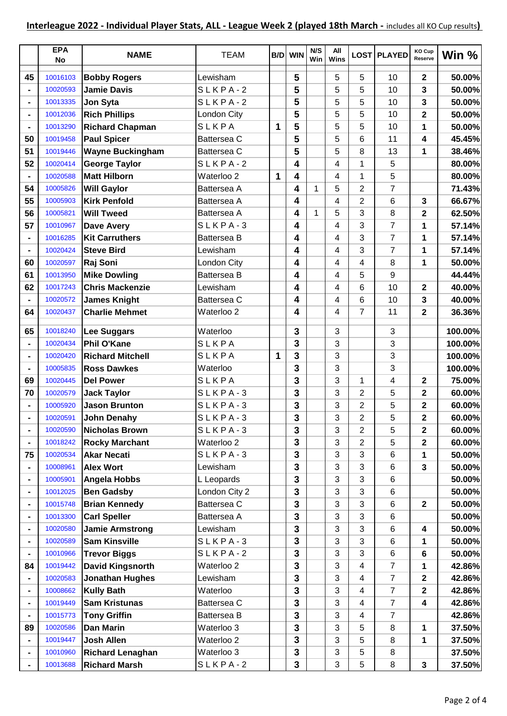|                | <b>EPA</b><br>No | <b>NAME</b>             | <b>TEAM</b>        | B/D | <b>WIN</b>   | N/S<br>Win | All<br>Wins |                | LOST PLAYED    | KO Cup<br>Reserve | Win $%$ |
|----------------|------------------|-------------------------|--------------------|-----|--------------|------------|-------------|----------------|----------------|-------------------|---------|
| 45             | 10016103         | <b>Bobby Rogers</b>     | Lewisham           |     | 5            |            | 5           | 5              | 10             | $\mathbf{2}$      | 50.00%  |
|                | 10020593         | <b>Jamie Davis</b>      | $SLKPA-2$          |     | 5            |            | 5           | 5              | 10             | 3                 | 50.00%  |
| $\blacksquare$ | 10013335         | Jon Syta                | SLKPA-2            |     | 5            |            | 5           | 5              | 10             | 3                 | 50.00%  |
| $\blacksquare$ | 10012036         | <b>Rich Phillips</b>    | London City        |     | 5            |            | 5           | 5              | 10             | 2                 | 50.00%  |
|                | 10013290         | <b>Richard Chapman</b>  | SLKPA              | 1   | 5            |            | 5           | 5              | 10             | 1                 | 50.00%  |
| 50             | 10019458         | <b>Paul Spicer</b>      | Battersea C        |     | 5            |            | 5           | 6              | 11             | 4                 | 45.45%  |
| 51             | 10019446         | <b>Wayne Buckingham</b> | Battersea C        |     | 5            |            | 5           | 8              | 13             | 1                 | 38.46%  |
| 52             | 10020414         | <b>George Taylor</b>    | $SLKPA-2$          |     | 4            |            | 4           | 1              | 5              |                   | 80.00%  |
|                | 10020588         | <b>Matt Hilborn</b>     | Waterloo 2         | 1   | 4            |            | 4           | 1              | 5              |                   | 80.00%  |
| 54             | 10005826         | <b>Will Gaylor</b>      | <b>Battersea A</b> |     | 4            | 1          | 5           | 2              | 7              |                   | 71.43%  |
| 55             | 10005903         | <b>Kirk Penfold</b>     | Battersea A        |     | 4            |            | 4           | 2              | 6              | $\mathbf{3}$      | 66.67%  |
| 56             | 10005821         | <b>Will Tweed</b>       | Battersea A        |     | 4            | 1          | 5           | 3              | 8              | 2                 | 62.50%  |
| 57             | 10010967         | <b>Dave Avery</b>       | $SLKPA-3$          |     | 4            |            | 4           | 3              | 7              | 1                 | 57.14%  |
|                | 10016285         | <b>Kit Carruthers</b>   | Battersea B        |     | 4            |            | 4           | 3              | 7              | 1                 | 57.14%  |
|                | 10020424         | <b>Steve Bird</b>       | Lewisham           |     | 4            |            | 4           | 3              | 7              | 1                 | 57.14%  |
| 60             | 10020597         | Raj Soni                | London City        |     | 4            |            | 4           | 4              | 8              | 1                 | 50.00%  |
| 61             | 10013950         | <b>Mike Dowling</b>     | <b>Battersea B</b> |     | 4            |            | 4           | 5              | 9              |                   | 44.44%  |
| 62             | 10017243         | <b>Chris Mackenzie</b>  | Lewisham           |     | 4            |            | 4           | 6              | 10             | $\mathbf{2}$      | 40.00%  |
|                | 10020572         | <b>James Knight</b>     | Battersea C        |     | 4            |            | 4           | 6              | 10             | 3                 | 40.00%  |
| 64             | 10020437         | <b>Charlie Mehmet</b>   | Waterloo 2         |     | 4            |            | 4           | 7              | 11             | $\mathbf{2}$      | 36.36%  |
| 65             | 10018240         | <b>Lee Suggars</b>      | Waterloo           |     | 3            |            | 3           |                | 3              |                   | 100.00% |
|                | 10020434         | <b>Phil O'Kane</b>      | SLKPA              |     | 3            |            | 3           |                | 3              |                   | 100.00% |
|                | 10020420         | <b>Richard Mitchell</b> | SLKPA              | 1   | 3            |            | 3           |                | 3              |                   | 100.00% |
|                | 10005835         | <b>Ross Dawkes</b>      | Waterloo           |     | 3            |            | 3           |                | 3              |                   | 100.00% |
| 69             | 10020445         | <b>Del Power</b>        | SLKPA              |     | 3            |            | 3           | 1              | 4              | 2                 | 75.00%  |
| 70             | 10020579         | <b>Jack Taylor</b>      | SLKPA-3            |     | 3            |            | 3           | $\overline{2}$ | 5              | $\mathbf{2}$      | 60.00%  |
|                | 10005920         | <b>Jason Brunton</b>    | $SLKPA-3$          |     | $\mathbf{3}$ |            | 3           | 2              | 5              | $\mathbf{2}$      | 60.00%  |
|                | 10020591         | <b>John Denahy</b>      | $SLKPA-3$          |     | 3            |            | 3           | $\overline{2}$ | 5              | $\overline{2}$    | 60.00%  |
|                | 10020590         | <b>Nicholas Brown</b>   | $SLKPA-3$          |     | 3            |            | 3           | $\overline{2}$ | 5              | $\mathbf{2}$      | 60.00%  |
|                | 10018242         | <b>Rocky Marchant</b>   | Waterloo 2         |     | 3            |            | 3           | 2              | 5              | $\mathbf{2}$      | 60.00%  |
| 75             | 10020534         | <b>Akar Necati</b>      | $SLKPA-3$          |     | 3            |            | 3           | 3              | 6              | 1                 | 50.00%  |
|                | 10008961         | <b>Alex Wort</b>        | Lewisham           |     | 3            |            | 3           | 3              | 6              | 3                 | 50.00%  |
| $\blacksquare$ | 10005901         | Angela Hobbs            | L Leopards         |     | 3            |            | 3           | 3              | 6              |                   | 50.00%  |
| $\blacksquare$ | 10012025         | <b>Ben Gadsby</b>       | London City 2      |     | 3            |            | 3           | 3              | 6              |                   | 50.00%  |
|                | 10015748         | <b>Brian Kennedy</b>    | Battersea C        |     | 3            |            | 3           | 3              | 6              | $\mathbf{2}$      | 50.00%  |
|                | 10013300         | <b>Carl Speller</b>     | Battersea A        |     | 3            |            | 3           | 3              | 6              |                   | 50.00%  |
|                | 10020580         | <b>Jamie Armstrong</b>  | Lewisham           |     | 3            |            | 3           | 3              | 6              | 4                 | 50.00%  |
| $\blacksquare$ | 10020589         | <b>Sam Kinsville</b>    | $SLKPA-3$          |     | 3            |            | 3           | 3              | 6              | 1                 | 50.00%  |
|                | 10010966         | <b>Trevor Biggs</b>     | SLKPA-2            |     | 3            |            | 3           | 3              | 6              | 6                 | 50.00%  |
| 84             | 10019442         | <b>David Kingsnorth</b> | Waterloo 2         |     | 3            |            | 3           | 4              | 7              | 1                 | 42.86%  |
|                | 10020583         | <b>Jonathan Hughes</b>  | Lewisham           |     | 3            |            | 3           | 4              | 7              | $\mathbf{2}$      | 42.86%  |
|                | 10008662         | <b>Kully Bath</b>       | Waterloo           |     | 3            |            | 3           | 4              | $\overline{7}$ | $\boldsymbol{2}$  | 42.86%  |
|                | 10019449         | <b>Sam Kristunas</b>    | Battersea C        |     | 3            |            | 3           | 4              | $\overline{7}$ | 4                 | 42.86%  |
|                | 10015773         | <b>Tony Griffin</b>     | Battersea B        |     | 3            |            | 3           | 4              | $\overline{7}$ |                   | 42.86%  |
| 89             | 10020586         | <b>Dan Marin</b>        | Waterloo 3         |     | 3            |            | 3           | 5              | 8              | 1                 | 37.50%  |
|                | 10019447         | <b>Josh Allen</b>       | Waterloo 2         |     | 3            |            | 3           | 5              | 8              | 1                 | 37.50%  |
| $\blacksquare$ | 10010960         | <b>Richard Lenaghan</b> | Waterloo 3         |     | 3            |            | 3           | 5              | 8              |                   | 37.50%  |
|                | 10013688         | <b>Richard Marsh</b>    | $SLKPA-2$          |     | 3            |            | 3           | 5              | 8              | $\mathbf{3}$      | 37.50%  |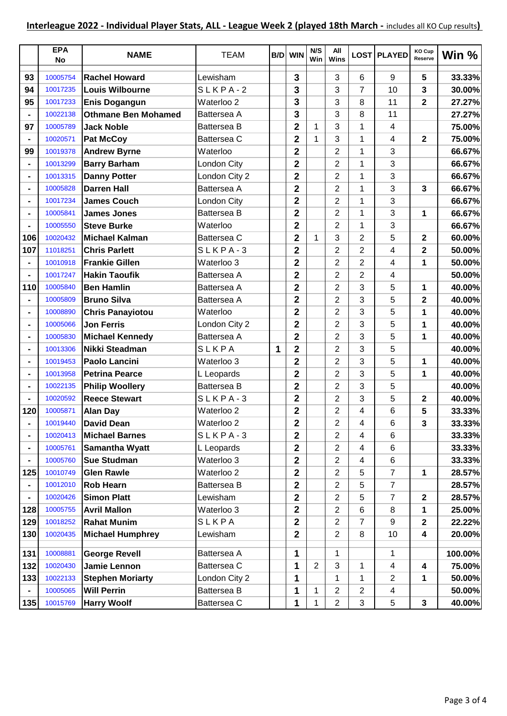|                | <b>EPA</b><br>No | <b>NAME</b>                | <b>TEAM</b>        |   | <b>B/D</b> WIN          | N/S<br>Win     | All<br>Wins    |                | <b>LOST PLAYED</b> | KO Cup<br>Reserve       | Win %   |
|----------------|------------------|----------------------------|--------------------|---|-------------------------|----------------|----------------|----------------|--------------------|-------------------------|---------|
| 93             | 10005754         | <b>Rachel Howard</b>       | Lewisham           |   | 3                       |                | 3              | 6              | 9                  | 5                       | 33.33%  |
| 94             | 10017235         | Louis Wilbourne            | $SLKPA-2$          |   | 3                       |                | 3              | 7              | 10                 | 3                       | 30.00%  |
| 95             | 10017233         | <b>Enis Dogangun</b>       | Waterloo 2         |   | 3                       |                | 3              | 8              | 11                 | $\overline{\mathbf{2}}$ | 27.27%  |
|                | 10022138         | <b>Othmane Ben Mohamed</b> | Battersea A        |   | 3                       |                | 3              | 8              | 11                 |                         | 27.27%  |
| 97             | 10005789         | <b>Jack Noble</b>          | <b>Battersea B</b> |   | $\overline{\mathbf{2}}$ | 1              | 3              | 1              | 4                  |                         | 75.00%  |
|                | 10020571         | <b>Pat McCoy</b>           | Battersea C        |   | 2                       | $\mathbf{1}$   | 3              | 1              | 4                  | $\mathbf{2}$            | 75.00%  |
| 99             | 10019378         | <b>Andrew Byrne</b>        | Waterloo           |   | $\overline{2}$          |                | $\overline{2}$ | 1              | 3                  |                         | 66.67%  |
|                | 10013299         | <b>Barry Barham</b>        | London City        |   | $\overline{2}$          |                | $\overline{2}$ | 1              | 3                  |                         | 66.67%  |
|                | 10013315         | <b>Danny Potter</b>        | London City 2      |   | $\overline{2}$          |                | 2              | 1              | 3                  |                         | 66.67%  |
|                | 10005828         | <b>Darren Hall</b>         | Battersea A        |   | $\overline{\mathbf{2}}$ |                | $\overline{2}$ | 1              | 3                  | 3                       | 66.67%  |
|                | 10017234         | <b>James Couch</b>         | London City        |   | $\overline{\mathbf{2}}$ |                | $\overline{2}$ | 1              | 3                  |                         | 66.67%  |
|                | 10005841         | <b>James Jones</b>         | <b>Battersea B</b> |   | $\overline{2}$          |                | $\overline{2}$ | 1              | 3                  | 1                       | 66.67%  |
|                | 10005550         | <b>Steve Burke</b>         | Waterloo           |   | $\overline{2}$          |                | $\overline{2}$ | 1              | 3                  |                         | 66.67%  |
| 106            | 10020432         | Michael Kalman             | Battersea C        |   | $\overline{2}$          | 1              | 3              | $\overline{2}$ | 5                  | $\mathbf{2}$            | 60.00%  |
| 107            | 11018251         | <b>Chris Parlett</b>       | $SLKPA-3$          |   | $\overline{\mathbf{2}}$ |                | $\overline{2}$ | $\overline{2}$ | 4                  | $\overline{\mathbf{2}}$ | 50.00%  |
|                | 10010918         | <b>Frankie Gillen</b>      | Waterloo 3         |   | $\overline{2}$          |                | 2              | 2              | 4                  | 1                       | 50.00%  |
|                | 10017247         | <b>Hakin Taoufik</b>       | Battersea A        |   | $\overline{\mathbf{2}}$ |                | $\overline{2}$ | $\overline{2}$ | 4                  |                         | 50.00%  |
| 110            | 10005840         | <b>Ben Hamlin</b>          | Battersea A        |   | $\overline{\mathbf{2}}$ |                | $\overline{2}$ | 3              | 5                  | 1                       | 40.00%  |
|                | 10005809         | <b>Bruno Silva</b>         | Battersea A        |   | $\overline{2}$          |                | $\overline{2}$ | 3              | 5                  | $\mathbf{2}$            | 40.00%  |
| $\blacksquare$ | 10008890         | <b>Chris Panayiotou</b>    | Waterloo           |   | $\overline{2}$          |                | $\overline{2}$ | 3              | 5                  | 1                       | 40.00%  |
|                | 10005066         | <b>Jon Ferris</b>          | London City 2      |   | $\overline{2}$          |                | $\overline{2}$ | 3              | 5                  | 1                       | 40.00%  |
|                | 10005830         | <b>Michael Kennedy</b>     | Battersea A        |   | $\overline{2}$          |                | $\overline{2}$ | 3              | 5                  | 1                       | 40.00%  |
|                | 10013306         | Nikki Steadman             | SLKPA              | 1 | $\overline{\mathbf{2}}$ |                | 2              | 3              | 5                  |                         | 40.00%  |
|                | 10019453         | <b>Paolo Lancini</b>       | Waterloo 3         |   | $\overline{2}$          |                | $\overline{2}$ | 3              | 5                  | $\mathbf 1$             | 40.00%  |
| $\blacksquare$ | 10013958         | <b>Petrina Pearce</b>      | L Leopards         |   | $\overline{2}$          |                | $\overline{2}$ | 3              | 5                  | 1                       | 40.00%  |
|                | 10022135         | <b>Philip Woollery</b>     | Battersea B        |   | $\overline{\mathbf{2}}$ |                | 2              | 3              | 5                  |                         | 40.00%  |
|                | 10020592         | <b>Reece Stewart</b>       | SLKPA-3            |   | $\overline{2}$          |                | $\overline{2}$ | 3              | 5                  | $\mathbf{2}$            | 40.00%  |
| 120            | 10005871         | <b>Alan Day</b>            | Waterloo 2         |   | $\overline{2}$          |                | $\overline{2}$ | 4              | 6                  | 5                       | 33.33%  |
|                | 10019440         | <b>David Dean</b>          | Waterloo 2         |   | 2                       |                | $\overline{2}$ | 4              | 6                  | 3                       | 33.33%  |
|                | 10020413         | <b>Michael Barnes</b>      | $SLKPA-3$          |   | $\mathbf{2}$            |                | $\overline{2}$ | 4              | 6                  |                         | 33.33%  |
|                | 10005761         | <b>Samantha Wyatt</b>      | L Leopards         |   | $\overline{2}$          |                | $\overline{2}$ | 4              | 6                  |                         | 33.33%  |
|                | 10005760         | <b>Sue Studman</b>         | Waterloo 3         |   | $\overline{2}$          |                | $\overline{2}$ | 4              | 6                  |                         | 33.33%  |
| 125            | 10010749         | <b>Glen Rawle</b>          | Waterloo 2         |   | $\overline{2}$          |                | $\overline{2}$ | 5              | 7                  | 1                       | 28.57%  |
|                | 10012010         | <b>Rob Hearn</b>           | Battersea B        |   | $\overline{\mathbf{2}}$ |                | $\overline{2}$ | 5              | $\overline{7}$     |                         | 28.57%  |
|                | 10020426         | <b>Simon Platt</b>         | Lewisham           |   | $\overline{\mathbf{2}}$ |                | $\overline{2}$ | 5              | 7                  | $\mathbf 2$             | 28.57%  |
| 128            | 10005755         | <b>Avril Mallon</b>        | Waterloo 3         |   | $\overline{\mathbf{2}}$ |                | $\overline{2}$ | 6              | 8                  | 1                       | 25.00%  |
| 129            | 10018252         | <b>Rahat Munim</b>         | SLKPA              |   | $\overline{\mathbf{2}}$ |                | $\overline{2}$ | 7              | 9                  | $\mathbf{2}$            | 22.22%  |
| 130            | 10020435         | <b>Michael Humphrey</b>    | Lewisham           |   | $\overline{2}$          |                | $\overline{2}$ | 8              | 10                 | 4                       | 20.00%  |
| 131            | 10008881         | <b>George Revell</b>       | Battersea A        |   | 1                       |                | 1              |                | 1                  |                         | 100.00% |
| 132            | 10020430         | Jamie Lennon               | Battersea C        |   | 1                       | $\overline{2}$ | 3              | 1              | 4                  | 4                       | 75.00%  |
| 133            | 10022133         | <b>Stephen Moriarty</b>    | London City 2      |   | 1                       |                | 1              | 1              | $\overline{2}$     | 1                       | 50.00%  |
|                | 10005065         | <b>Will Perrin</b>         | Battersea B        |   | 1                       | 1              | $\overline{2}$ | $\overline{2}$ | 4                  |                         | 50.00%  |
| 135            | 10015769         | <b>Harry Woolf</b>         | Battersea C        |   | 1                       | 1              | $\overline{2}$ | 3              | 5                  | 3                       | 40.00%  |